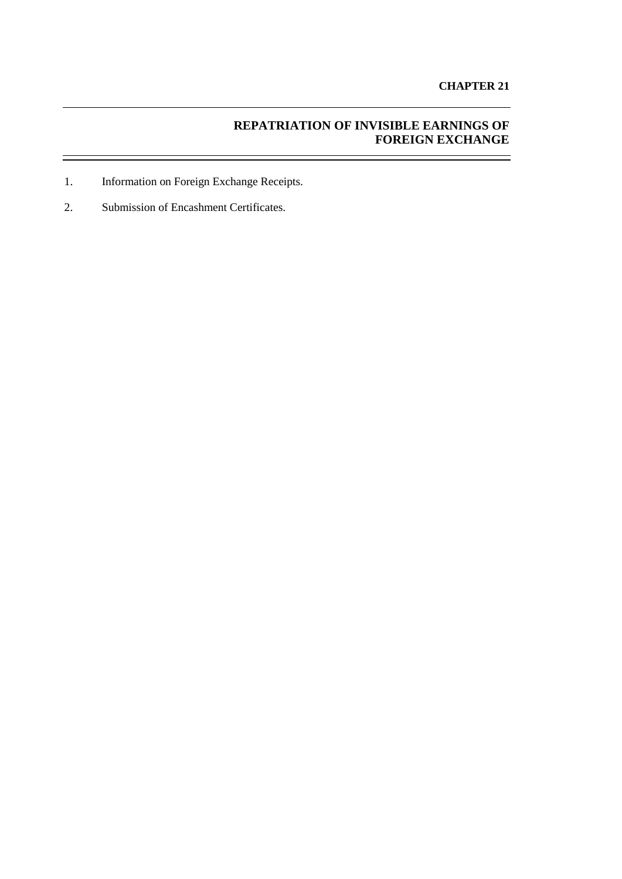# **REPATRIATION OF INVISIBLE EARNINGS OF FOREIGN EXCHANGE**

- 1. Information on Foreign Exchange Receipts.
- 2. Submission of Encashment Certificates.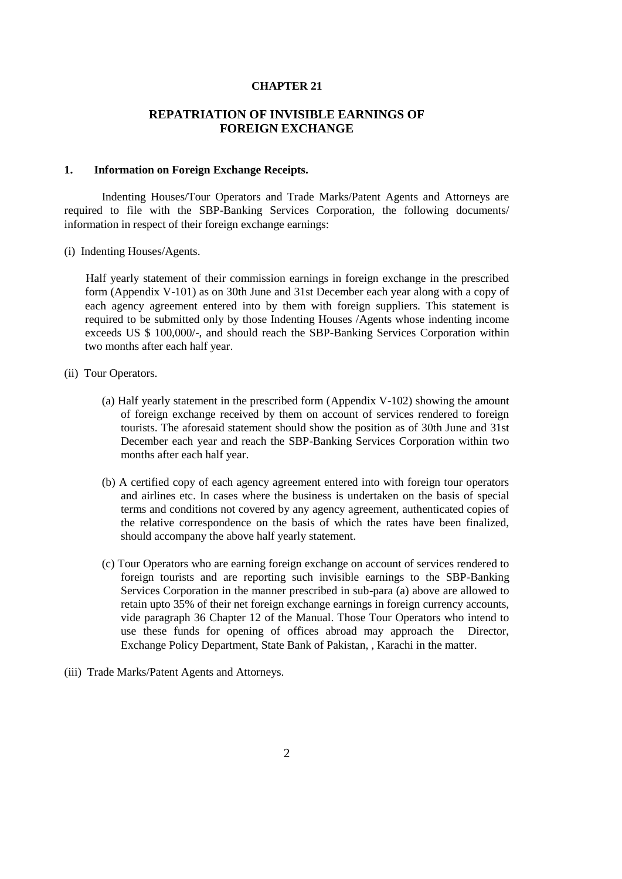## **CHAPTER 21**

## **REPATRIATION OF INVISIBLE EARNINGS OF FOREIGN EXCHANGE**

#### **1. Information on Foreign Exchange Receipts.**

Indenting Houses/Tour Operators and Trade Marks/Patent Agents and Attorneys are required to file with the SBP-Banking Services Corporation, the following documents/ information in respect of their foreign exchange earnings:

(i) Indenting Houses/Agents.

Half yearly statement of their commission earnings in foreign exchange in the prescribed form [\(Appendix V-1](file:///C:\Users\shafiqur%20rehman\AppData\Local\Microsoft\Windows\Temporary%20Internet%20Files\appendix%20files\appendix%205\ap5-98.htm)01) as on 30th June and 31st December each year along with a copy of each agency agreement entered into by them with foreign suppliers. This statement is required to be submitted only by those Indenting Houses /Agents whose indenting income exceeds US \$ 100,000/-, and should reach the SBP-Banking Services Corporation within two months after each half year.

- (ii) Tour Operators.
	- (a) Half yearly statement in the prescribed form [\(Appendix V-1](file:///C:\Users\shafiqur%20rehman\AppData\Local\Microsoft\Windows\Temporary%20Internet%20Files\appendix%20files\appendix%205\ap5-99.htm)02) showing the amount of foreign exchange received by them on account of services rendered to foreign tourists. The aforesaid statement should show the position as of 30th June and 31st December each year and reach the SBP-Banking Services Corporation within two months after each half year.
	- (b) A certified copy of each agency agreement entered into with foreign tour operators and airlines etc. In cases where the business is undertaken on the basis of special terms and conditions not covered by any agency agreement, authenticated copies of the relative correspondence on the basis of which the rates have been finalized, should accompany the above half yearly statement.
	- (c) Tour Operators who are earning foreign exchange on account of services rendered to foreign tourists and are reporting such invisible earnings to the SBP-Banking Services Corporation in the manner prescribed in sub-para (a) above are allowed to retain upto 35% of their net foreign exchange earnings in foreign currency accounts, vide paragraph 36 Chapter 12 of the Manual. Those Tour Operators who intend to use these funds for opening of offices abroad may approach the Director, Exchange Policy Department, State Bank of Pakistan, , Karachi in the matter.
- (iii) Trade Marks/Patent Agents and Attorneys.